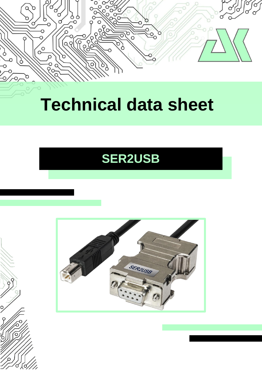

# **Technical data sheet**

# **SER2USB**



C

ć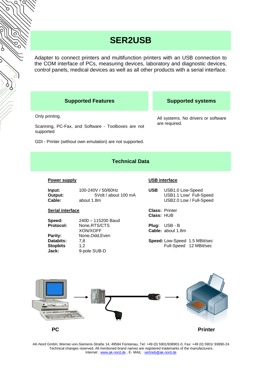## **SER2USB**

Adapter to connect printers and multifunction printers with an USB connection to the COM interface of PCs, measuring devices, laboratory and diagnostic devices, control panels, medical devices as well as all other products with a serial interface.

## **Supported Features Supported systems**

## Only printing.

Scanning, PC-Fax, and Software - Toolboxes are not supported

GDI - Printer (without own emulation) are not supported.

All systems. No drivers or software are required.

## **Technical Data**

## **Power supply**

| 5Volt / about 100 mA<br>Output:<br>Cable:<br>about 1.8m | Input: | 100-240V / 50/60Hz | <b>USB</b> | USB1.0 Low-Speed<br>USB1.1 Low/ Full-Speed<br>USB2.0 Low / Full-Speed |
|---------------------------------------------------------|--------|--------------------|------------|-----------------------------------------------------------------------|
|---------------------------------------------------------|--------|--------------------|------------|-----------------------------------------------------------------------|

## **Serial interface**

| opeea:<br><b>Protocol:</b>                              |  |
|---------------------------------------------------------|--|
| Parity:<br><b>Databits:</b><br><b>Stopbits</b><br>Jack: |  |

**Speed:** 2400 – 115200 Baud **Protocol:** None,RTS/CTS XON/XOFF **Parity:** None,Odd,Even **Databits:** 7,8 **Stopbits** 1,2 **Jack:** 9-pole SUB-D

## **USB interface**

| SB | USB1.0 Low-Speed        |  |  |
|----|-------------------------|--|--|
|    | USB1.1 Low/ Full-Speed  |  |  |
|    | USB2.0 Low / Full-Speed |  |  |

**Class:** Printer **Class:** HUB

**Plug:** USB - B **Cable:** about 1.8m

**Speed:** Low-Speed 1.5 MBit/sec Full-Speed 12 MBit/sec



AK-Nord GmbH, Werner-von-Siemens-Straße 14, 49584 Fürstenau, Tel: +49 (0) 5901/938901-0, Fax: +49 (0) 5901/ 93890-24 Technical changes reserved. All mentioned brand names are registered trademarks of the manufacturers. Internet : [www.ak-nord.de](file:///D:/Ak/Mini5/Bsft/TEXTE/XTMINI/www.ak-nord.de), E- MAIL : [vertrieb@ak-nord.de](file://///MITTE/C/Eigene%20Dateien/vertrieb@ak-nord.de)